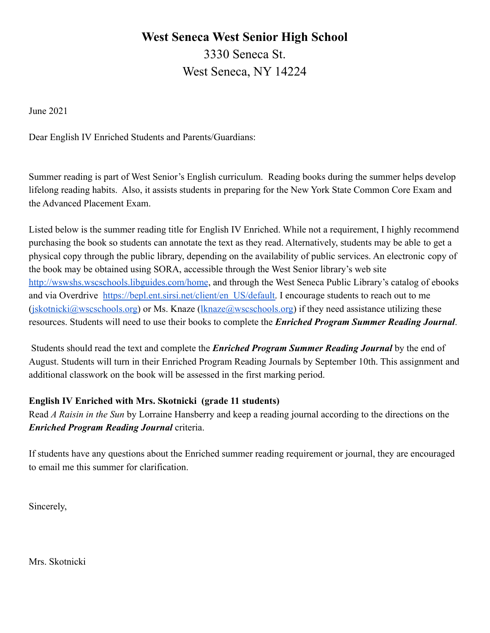# **West Seneca West Senior High School** 3330 Seneca St. West Seneca, NY 14224

June 2021

Dear English IV Enriched Students and Parents/Guardians:

Summer reading is part of West Senior's English curriculum. Reading books during the summer helps develop lifelong reading habits. Also, it assists students in preparing for the New York State Common Core Exam and the Advanced Placement Exam.

Listed below is the summer reading title for English IV Enriched. While not a requirement, I highly recommend purchasing the book so students can annotate the text as they read. Alternatively, students may be able to get a physical copy through the public library, depending on the availability of public services. An electronic copy of the book may be obtained using SORA, accessible through the West Senior library's web site <http://wswshs.wscschools.libguides.com/home>, and through the West Seneca Public Library's catalog of ebooks and via Overdrive [https://bepl.ent.sirsi.net/client/en\\_US/default.](https://bepl.ent.sirsi.net/client/en_US/default) I encourage students to reach out to me  $($ [jskotnicki@wscschools.org\)](mailto:jskotnicki@wscschools.org) or Ms. Knaze ([lknaze@wscschools.org\)](mailto:lknaze@wscschools.org) if they need assistance utilizing these resources. Students will need to use their books to complete the *Enriched Program Summer Reading Journal*.

Students should read the text and complete the *Enriched Program Summer Reading Journal* by the end of August. Students will turn in their Enriched Program Reading Journals by September 10th. This assignment and additional classwork on the book will be assessed in the first marking period.

## **English IV Enriched with Mrs. Skotnicki (grade 11 students)**

Read *A Raisin in the Sun* by Lorraine Hansberry and keep a reading journal according to the directions on the *Enriched Program Reading Journal* criteria.

If students have any questions about the Enriched summer reading requirement or journal, they are encouraged to email me this summer for clarification.

Sincerely,

Mrs. Skotnicki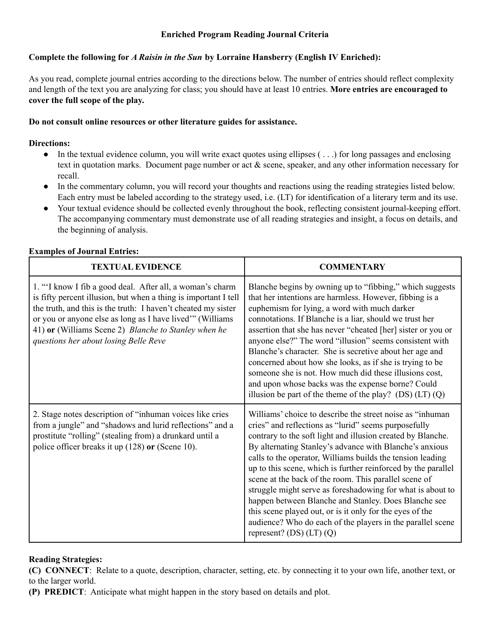#### **Enriched Program Reading Journal Criteria**

### **Complete the following for** *A Raisin in the Sun* **by Lorraine Hansberry (English IV Enriched):**

As you read, complete journal entries according to the directions below. The number of entries should reflect complexity and length of the text you are analyzing for class; you should have at least 10 entries. **More entries are encouraged to cover the full scope of the play.**

#### **Do not consult online resources or other literature guides for assistance.**

#### **Directions:**

- In the textual evidence column, you will write exact quotes using ellipses ( . . .) for long passages and enclosing text in quotation marks. Document page number or act & scene, speaker, and any other information necessary for recall.
- In the commentary column, you will record your thoughts and reactions using the reading strategies listed below. Each entry must be labeled according to the strategy used, i.e. (LT) for identification of a literary term and its use.
- Your textual evidence should be collected evenly throughout the book, reflecting consistent journal-keeping effort. The accompanying commentary must demonstrate use of all reading strategies and insight, a focus on details, and the beginning of analysis.

| <b>TEXTUAL EVIDENCE</b>                                                                                                                                                                                                                                                                                                                                   | <b>COMMENTARY</b>                                                                                                                                                                                                                                                                                                                                                                                                                                                                                                                                                                                                                                                                                                  |
|-----------------------------------------------------------------------------------------------------------------------------------------------------------------------------------------------------------------------------------------------------------------------------------------------------------------------------------------------------------|--------------------------------------------------------------------------------------------------------------------------------------------------------------------------------------------------------------------------------------------------------------------------------------------------------------------------------------------------------------------------------------------------------------------------------------------------------------------------------------------------------------------------------------------------------------------------------------------------------------------------------------------------------------------------------------------------------------------|
| 1. "I know I fib a good deal. After all, a woman's charm<br>is fifty percent illusion, but when a thing is important I tell<br>the truth, and this is the truth: I haven't cheated my sister<br>or you or anyone else as long as I have lived" (Williams<br>41) or (Williams Scene 2) Blanche to Stanley when he<br>questions her about losing Belle Reve | Blanche begins by owning up to "fibbing," which suggests<br>that her intentions are harmless. However, fibbing is a<br>euphemism for lying, a word with much darker<br>connotations. If Blanche is a liar, should we trust her<br>assertion that she has never "cheated [her] sister or you or<br>anyone else?" The word "illusion" seems consistent with<br>Blanche's character. She is secretive about her age and<br>concerned about how she looks, as if she is trying to be<br>someone she is not. How much did these illusions cost,<br>and upon whose backs was the expense borne? Could<br>illusion be part of the theme of the play? (DS) $(LT)$ (Q)                                                      |
| 2. Stage notes description of "inhuman voices like cries"<br>from a jungle" and "shadows and lurid reflections" and a<br>prostitute "rolling" (stealing from) a drunkard until a<br>police officer breaks it up (128) or (Scene 10).                                                                                                                      | Williams' choice to describe the street noise as "inhuman"<br>cries" and reflections as "lurid" seems purposefully<br>contrary to the soft light and illusion created by Blanche.<br>By alternating Stanley's advance with Blanche's anxious<br>calls to the operator, Williams builds the tension leading<br>up to this scene, which is further reinforced by the parallel<br>scene at the back of the room. This parallel scene of<br>struggle might serve as foreshadowing for what is about to<br>happen between Blanche and Stanley. Does Blanche see<br>this scene played out, or is it only for the eyes of the<br>audience? Who do each of the players in the parallel scene<br>represent? (DS) $(LT) (Q)$ |

#### **Examples of Journal Entries:**

#### **Reading Strategies:**

**(C) CONNECT**: Relate to a quote, description, character, setting, etc. by connecting it to your own life, another text, or to the larger world.

**(P) PREDICT**: Anticipate what might happen in the story based on details and plot.